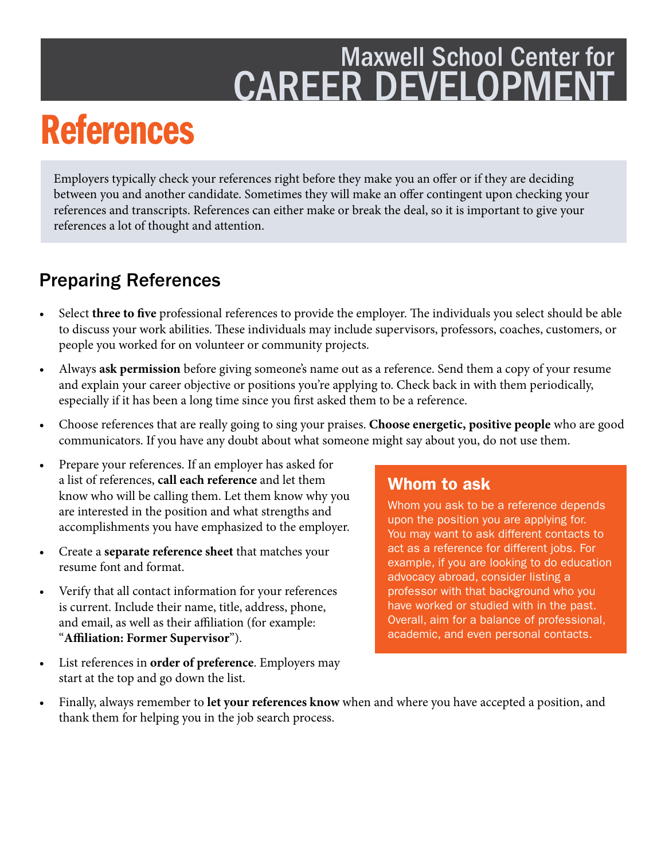### Maxwell School Center for **CAREER DEVELOPMENT**

## References

Employers typically check your references right before they make you an offer or if they are deciding between you and another candidate. Sometimes they will make an ofer contingent upon checking your references and transcripts. References can either make or break the deal, so it is important to give your references a lot of thought and attention.

#### Preparing References

- Select **three to five** professional references to provide the employer. The individuals you select should be able to discuss your work abilities. These individuals may include supervisors, professors, coaches, customers, or people you worked for on volunteer or community projects.
- Always **ask permission** before giving someone's name out as a reference. Send them a copy of your resume and explain your career objective or positions you're applying to. Check back in with them periodically, especially if it has been a long time since you frst asked them to be a reference.
- Choose references that are really going to sing your praises. **Choose energetic, positive people** who are good communicators. If you have any doubt about what someone might say about you, do not use them.
- Prepare your references. If an employer has asked for a list of references, **call each reference** and let them know who will be calling them. Let them know why you are interested in the position and what strengths and accomplishments you have emphasized to the employer.
- Create a **separate reference sheet** that matches your resume font and format.
- Verify that all contact information for your references professor with that background who you is current. Include their name, title, address, phone, have worked or studied with in the past. and email, as well as their affiliation (for example: "**Afliation: Former Supervisor**").
- List references in **order of preference**. Employers may start at the top and go down the list.

#### Whom to ask

Whom you ask to be a reference depends upon the position you are applying for. You may want to ask different contacts to act as a reference for different jobs. For example, if you are looking to do education advocacy abroad, consider listing a Overall, aim for a balance of professional, academic, and even personal contacts.

• Finally, always remember to **let your references know** when and where you have accepted a position, and thank them for helping you in the job search process.